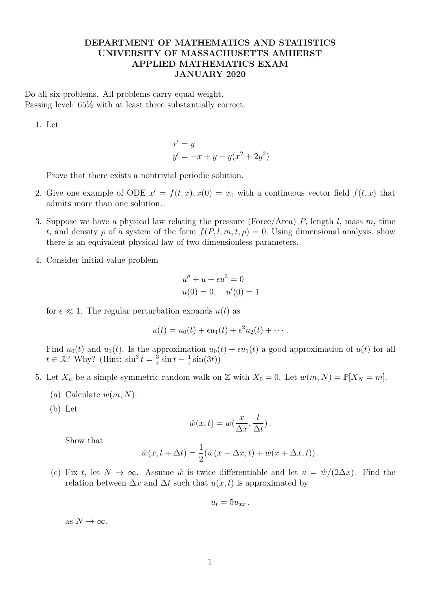## **DEPARTMENT OF MATHEMATICS AND STATISTICS UNIVERSITY OF MASSACHUSETTS AMHERST APPLIED MATHEMATICS EXAM JANUARY 2020**

Do all six problems. All problems carry equal weight. Passing level: 65% with at least three substantially correct.

1. Let

$$
x' = y
$$
  

$$
y' = -x + y - y(x^{2} + 2y^{2})
$$

Prove that there exists a nontrivial periodic solution.

- 2. Give one example of ODE  $x' = f(t, x), x(0) = x_0$  with a continuous vector field  $f(t, x)$  that admits more than one solution.
- 3. Suppose we have a physical law relating the pressure (Force/Area) *P,* length *l,* mass *m,* time *t*, and density  $\rho$  of a system of the form  $f(P, l, m, t, \rho) = 0$ . Using dimensional analysis, show there is an equivalent physical law of two dimensionless parameters.
- 4. Consider initial value problem

$$
u'' + u + \epsilon u^3 = 0
$$
  

$$
u(0) = 0, \quad u'(0) = 1
$$

for  $\epsilon \ll 1$ . The regular perturbation expands  $u(t)$  as

$$
u(t) = u_0(t) + \epsilon u_1(t) + \epsilon^2 u_2(t) + \cdots.
$$

Find  $u_0(t)$  and  $u_1(t)$ . Is the approximation  $u_0(t) + \epsilon u_1(t)$  a good approximation of  $u(t)$  for all  $t \in \mathbb{R}$ ? Why? (Hint:  $\sin^3 t = \frac{3}{4}$  $rac{3}{4}$  sin  $t - \frac{1}{4}$  $rac{1}{4}\sin(3t)$ 

- 5. Let  $X_n$  be a simple symmetric random walk on Z with  $X_0 = 0$ . Let  $w(m, N) = \mathbb{P}[X_N = m]$ .
	- (a) Calculate  $w(m, N)$ .
	- (b) Let

$$
\hat{w}(x,t) = w(\frac{x}{\Delta x}, \frac{t}{\Delta t}).
$$

Show that

$$
\hat{w}(x,t+\Delta t) = \frac{1}{2}(\hat{w}(x-\Delta x,t) + \hat{w}(x+\Delta x,t)).
$$

(c) Fix *t*, let  $N \to \infty$ . Assume  $\hat{w}$  is twice differentiable and let  $u = \hat{w}/(2\Delta x)$ . Find the relation between  $\Delta x$  and  $\Delta t$  such that  $u(x, t)$  is approximated by

$$
u_t=5u_{xx}.
$$

as  $N \to \infty$ .